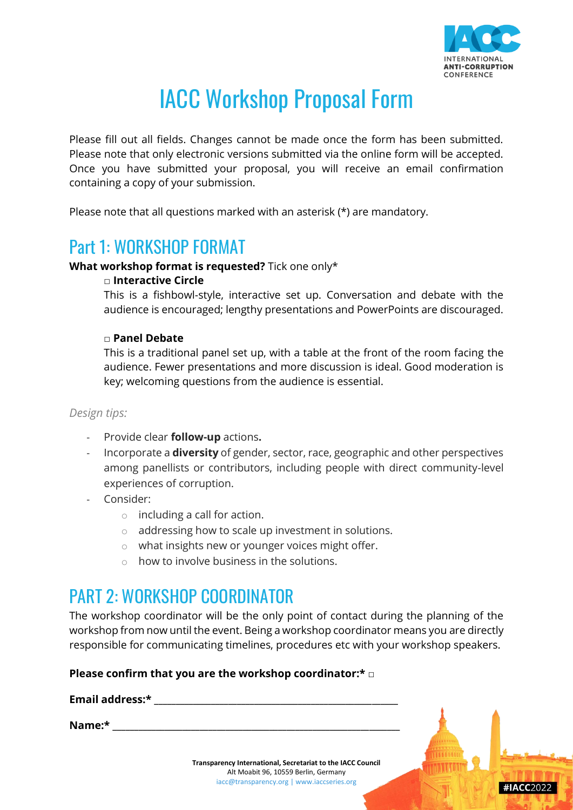

# IACC Workshop Proposal Form

Please fill out all fields. Changes cannot be made once the form has been submitted. Please note that only electronic versions submitted via the online form will be accepted. Once you have submitted your proposal, you will receive an email confirmation containing a copy of your submission.

Please note that all questions marked with an asterisk (\*) are mandatory.

### Part 1: WORKSHOP FORMAT

### **What workshop format is requested?** Tick one only\*

### **□ Interactive Circle**

This is a fishbowl-style, interactive set up. Conversation and debate with the audience is encouraged; lengthy presentations and PowerPoints are discouraged.

### **□ Panel Debate**

This is a traditional panel set up, with a table at the front of the room facing the audience. Fewer presentations and more discussion is ideal. Good moderation is key; welcoming questions from the audience is essential.

### *Design tips:*

- Provide clear **follow-up** actions**.**
- Incorporate a **diversity** of gender, sector, race, geographic and other perspectives among panellists or contributors, including people with direct community-level experiences of corruption.
- Consider:
	- $\circ$  including a call for action.
	- o addressing how to scale up investment in solutions.
	- o what insights new or younger voices might offer.
	- $\circ$  how to involve business in the solutions.

## PART 2: WORKSHOP COORDINATOR

The workshop coordinator will be the only point of contact during the planning of the workshop from now until the event. Being a workshop coordinator means you are directly responsible for communicating timelines, procedures etc with your workshop speakers.

### **Please confirm that you are the workshop coordinator:\*** □

| Email address:* |                                                                                    |           |
|-----------------|------------------------------------------------------------------------------------|-----------|
| Name:*          |                                                                                    |           |
|                 | Transparency International, Secretariat to the IACC Council                        |           |
|                 | Alt Moabit 96, 10559 Berlin, Germany<br>iacc@transparency.org   www.iaccseries.org | #IACC2022 |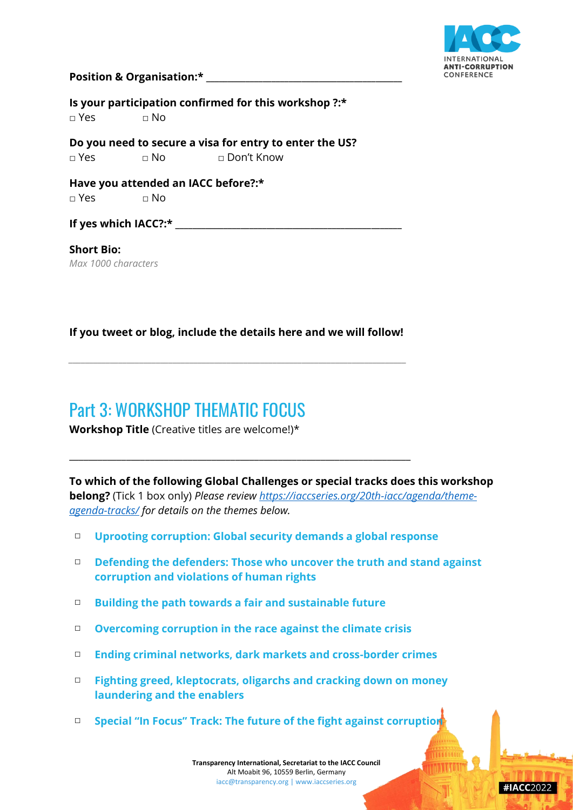

#IACC2022

#### **Position & Organisation:\* \_\_\_\_\_\_\_\_\_\_\_\_\_\_\_\_\_\_\_\_\_\_\_\_\_\_\_\_\_\_\_\_\_\_\_\_\_\_\_\_\_\_\_\_\_**

**Is your participation confirmed for this workshop ?:\*** □ Yes □ No

**Do you need to secure a visa for entry to enter the US?** □ Yes □ No □ Don't Know

**Have you attended an IACC before?:\***   $\Box$  Yes  $\Box$  No

**If yes which IACC?:\* \_\_\_\_\_\_\_\_\_\_\_\_\_\_\_\_\_\_\_\_\_\_\_\_\_\_\_\_\_\_\_\_\_\_\_\_\_\_\_\_\_\_\_\_\_\_\_\_\_\_\_\_**

**Short Bio:** *Max 1000 characters*

**If you tweet or blog, include the details here and we will follow!**

*\_\_\_\_\_\_\_\_\_\_\_\_\_\_\_\_\_\_\_\_\_\_\_\_\_\_\_\_\_\_\_\_\_\_\_\_\_\_\_\_\_\_\_\_\_\_\_\_\_\_\_\_\_\_\_\_\_\_\_\_\_\_\_\_\_\_\_\_\_\_\_\_\_\_\_\_\_\_\_\_\_*

\_\_\_\_\_\_\_\_\_\_\_\_\_\_\_\_\_\_\_\_\_\_\_\_\_\_\_\_\_\_\_\_\_\_\_\_\_\_\_\_\_\_\_\_\_\_\_\_\_\_\_\_\_\_\_\_\_\_\_\_\_\_\_\_\_\_\_\_\_\_\_\_

## Part 3: WORKSHOP THEMATIC FOCUS

**Workshop Title** (Creative titles are welcome!)\*

**To which of the following Global Challenges or special tracks does this workshop belong?** (Tick 1 box only) *Please review [https://iaccseries.org/20th-iacc/agenda/theme](https://iaccseries.org/20th-iacc/agenda/theme-agenda-tracks/)[agenda-tracks/](https://iaccseries.org/20th-iacc/agenda/theme-agenda-tracks/) for details on the themes below.*

- □ **Uprooting corruption: Global security demands a global response**
- □ **Defending the defenders: Those who uncover the truth and stand against corruption and violations of human rights**
- □ **Building the path towards a fair and sustainable future**
- □ **Overcoming corruption in the race against the climate crisis**
- □ **Ending criminal networks, dark markets and cross-border crimes**
- □ **Fighting greed, kleptocrats, oligarchs and cracking down on money laundering and the enablers**
- □ **Special "In Focus" Track: The future of the fight against corruption**

**Transparency International, Secretariat to the IACC Council** Alt Moabit 96, 10559 Berlin, Germany [iacc@transparency.org |](mailto:iacc@transparency.org) [www.iaccseries.org](http://www.iaccseries.org/)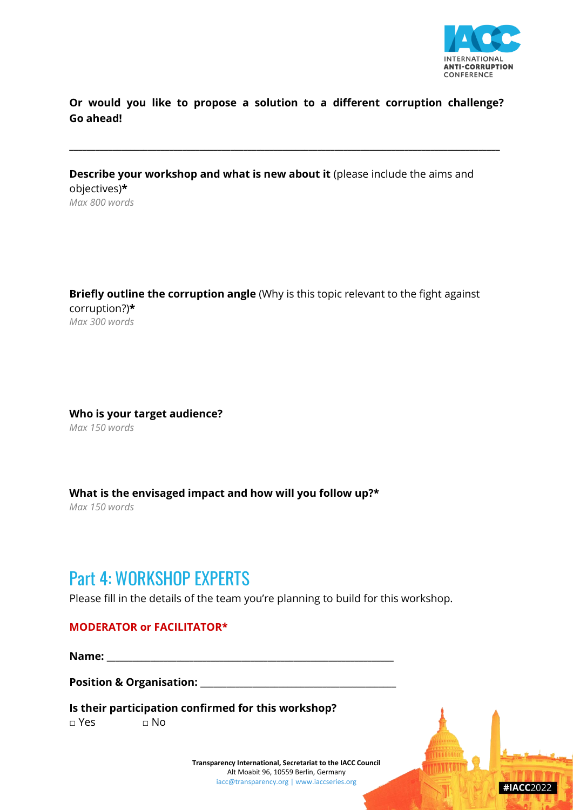

 $\#IACC$ 2022

**Or would you like to propose a solution to a different corruption challenge? Go ahead!** 

**\_\_\_\_\_\_\_\_\_\_\_\_\_\_\_\_\_\_\_\_\_\_\_\_\_\_\_\_\_\_\_\_\_\_\_\_\_\_\_\_\_\_\_\_\_\_\_\_\_\_\_\_\_\_\_\_\_\_\_\_\_\_\_\_\_\_\_\_\_\_\_\_\_\_\_\_\_\_\_\_\_\_\_\_\_\_\_\_\_\_\_\_\_\_\_\_\_\_\_**

**Describe your workshop and what is new about it** (please include the aims and objectives)**\*** *Max 800 words*

**Briefly outline the corruption angle** (Why is this topic relevant to the fight against corruption?)**\*** *Max 300 words*

**Who is your target audience?** *Max 150 words*

**What is the envisaged impact and how will you follow up?\***

*Max 150 words*

### Part 4: WORKSHOP EXPERTS

Please fill in the details of the team you're planning to build for this workshop.

### **MODERATOR or FACILITATOR\***

**Name: \_\_\_\_\_\_\_\_\_\_\_\_\_\_\_\_\_\_\_\_\_\_\_\_\_\_\_\_\_\_\_\_\_\_\_\_\_\_\_\_\_\_\_\_\_\_\_\_\_\_\_\_\_\_\_\_\_\_\_\_\_\_\_\_\_\_**

**Position & Organisation: \_\_\_\_\_\_\_\_\_\_\_\_\_\_\_\_\_\_\_\_\_\_\_\_\_\_\_\_\_\_\_\_\_\_\_\_\_\_\_\_\_\_\_\_\_**

**Is their participation confirmed for this workshop?** 

□ Yes □ No

**Transparency International, Secretariat to the IACC Council** Alt Moabit 96, 10559 Berlin, Germany [iacc@transparency.org |](mailto:iacc@transparency.org) [www.iaccseries.org](http://www.iaccseries.org/)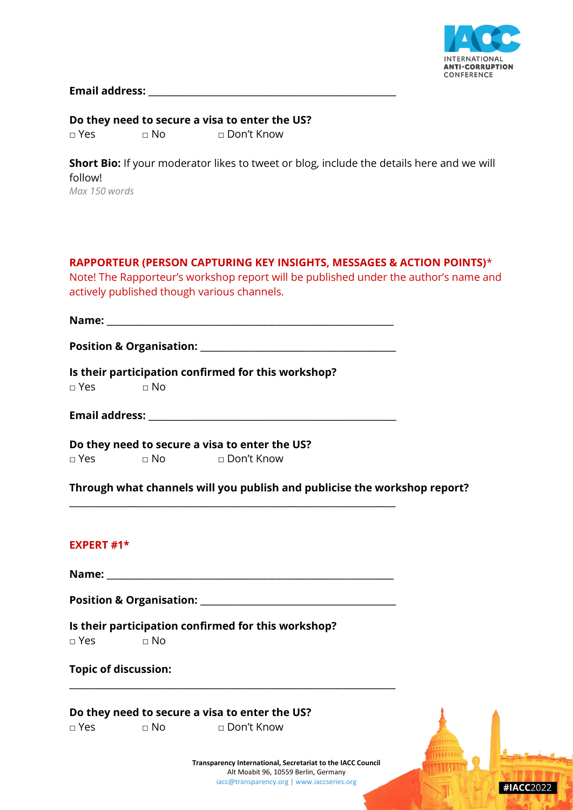

 $\text{HACC}$ 2022

**Email address: \_\_\_\_\_\_\_\_\_\_\_\_\_\_\_\_\_\_\_\_\_\_\_\_\_\_\_\_\_\_\_\_\_\_\_\_\_\_\_\_\_\_\_\_\_\_\_\_\_\_\_\_\_\_\_\_\_**

**Do they need to secure a visa to enter the US?** □ Yes □ No □ Don't Know

**Short Bio:** If your moderator likes to tweet or blog, include the details here and we will follow!

*Max 150 words*

**RAPPORTEUR (PERSON CAPTURING KEY INSIGHTS, MESSAGES & ACTION POINTS)**\* Note! The Rapporteur's workshop report will be published under the author's name and actively published though various channels.

**Name: \_\_\_\_\_\_\_\_\_\_\_\_\_\_\_\_\_\_\_\_\_\_\_\_\_\_\_\_\_\_\_\_\_\_\_\_\_\_\_\_\_\_\_\_\_\_\_\_\_\_\_\_\_\_\_\_\_\_\_\_\_\_\_\_\_\_**

**Position & Organisation: \_\_\_\_\_\_\_\_\_\_\_\_\_\_\_\_\_\_\_\_\_\_\_\_\_\_\_\_\_\_\_\_\_\_\_\_\_\_\_\_\_\_\_\_\_**

**Is their participation confirmed for this workshop?**   $\Box$  Yes  $\Box$  No

**Email address: \_\_\_\_\_\_\_\_\_\_\_\_\_\_\_\_\_\_\_\_\_\_\_\_\_\_\_\_\_\_\_\_\_\_\_\_\_\_\_\_\_\_\_\_\_\_\_\_\_\_\_\_\_\_\_\_\_**

**\_\_\_\_\_\_\_\_\_\_\_\_\_\_\_\_\_\_\_\_\_\_\_\_\_\_\_\_\_\_\_\_\_\_\_\_\_\_\_\_\_\_\_\_\_\_\_\_\_\_\_\_\_\_\_\_\_\_\_\_\_\_\_\_\_\_\_\_\_\_\_\_\_\_\_**

**Do they need to secure a visa to enter the US?** □ Yes □ No □ Don't Know

**Through what channels will you publish and publicise the workshop report?** 

### **EXPERT #1\***

**Name: \_\_\_\_\_\_\_\_\_\_\_\_\_\_\_\_\_\_\_\_\_\_\_\_\_\_\_\_\_\_\_\_\_\_\_\_\_\_\_\_\_\_\_\_\_\_\_\_\_\_\_\_\_\_\_\_\_\_\_\_\_\_\_\_\_\_**

**Position & Organisation: \_\_\_\_\_\_\_\_\_\_\_\_\_\_\_\_\_\_\_\_\_\_\_\_\_\_\_\_\_\_\_\_\_\_\_\_\_\_\_\_\_\_\_\_\_**

**\_\_\_\_\_\_\_\_\_\_\_\_\_\_\_\_\_\_\_\_\_\_\_\_\_\_\_\_\_\_\_\_\_\_\_\_\_\_\_\_\_\_\_\_\_\_\_\_\_\_\_\_\_\_\_\_\_\_\_\_\_\_\_\_\_\_\_\_\_\_\_\_\_\_\_**

**Is their participation confirmed for this workshop?**   $\Box$  Yes  $\Box$  No

|  |  | <b>Topic of discussion:</b> |
|--|--|-----------------------------|
|--|--|-----------------------------|

**Do they need to secure a visa to enter the US?**

□ Yes □ No □ Don't Know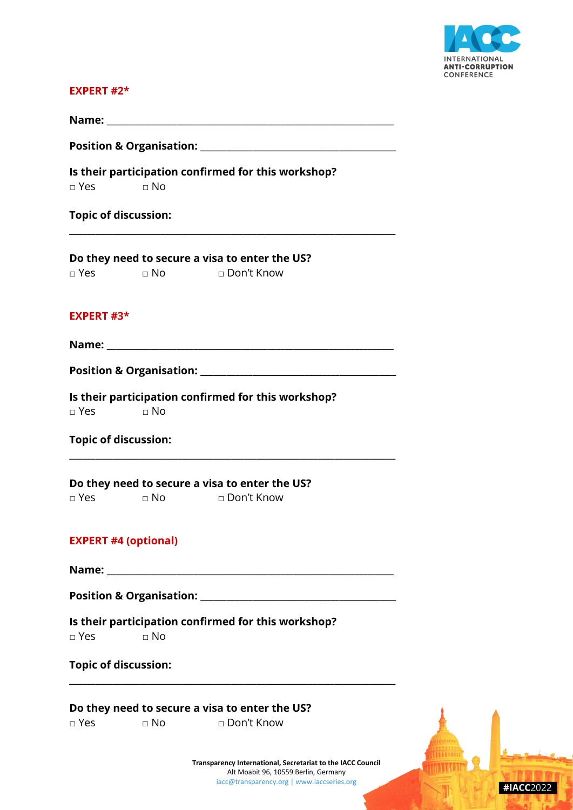

 $\#IACC2022$ 

#### **EXPERT #2\***

| Name:                               |  |
|-------------------------------------|--|
| <b>Position &amp; Organisation:</b> |  |

**\_\_\_\_\_\_\_\_\_\_\_\_\_\_\_\_\_\_\_\_\_\_\_\_\_\_\_\_\_\_\_\_\_\_\_\_\_\_\_\_\_\_\_\_\_\_\_\_\_\_\_\_\_\_\_\_\_\_\_\_\_\_\_\_\_\_\_\_\_\_\_\_\_\_\_**

**Is their participation confirmed for this workshop?** 

□ Yes □ No

**Topic of discussion:**

**Do they need to secure a visa to enter the US?**

### **EXPERT #3\***

**Name:**  $\frac{1}{\sqrt{2\pi}}$ 

**Position & Organisation: \_\_\_\_\_\_\_\_\_\_\_\_\_\_\_\_\_\_\_\_\_\_\_\_\_\_\_\_\_\_\_\_\_\_\_\_\_\_\_\_\_\_\_\_\_**

**\_\_\_\_\_\_\_\_\_\_\_\_\_\_\_\_\_\_\_\_\_\_\_\_\_\_\_\_\_\_\_\_\_\_\_\_\_\_\_\_\_\_\_\_\_\_\_\_\_\_\_\_\_\_\_\_\_\_\_\_\_\_\_\_\_\_\_\_\_\_\_\_\_\_\_**

**Is their participation confirmed for this workshop?**   $\Box$  Yes  $\Box$  No

### **Topic of discussion:**

**Do they need to secure a visa to enter the US?** □ Yes □ No □ Don't Know

### **EXPERT #4 (optional)**

**Name: \_\_\_\_\_\_\_\_\_\_\_\_\_\_\_\_\_\_\_\_\_\_\_\_\_\_\_\_\_\_\_\_\_\_\_\_\_\_\_\_\_\_\_\_\_\_\_\_\_\_\_\_\_\_\_\_\_\_\_\_\_\_\_\_\_\_**

**Position & Organisation: \_\_\_\_\_\_\_\_\_\_\_\_\_\_\_\_\_\_\_\_\_\_\_\_\_\_\_\_\_\_\_\_\_\_\_\_\_\_\_\_\_\_\_\_\_**

**\_\_\_\_\_\_\_\_\_\_\_\_\_\_\_\_\_\_\_\_\_\_\_\_\_\_\_\_\_\_\_\_\_\_\_\_\_\_\_\_\_\_\_\_\_\_\_\_\_\_\_\_\_\_\_\_\_\_\_\_\_\_\_\_\_\_\_\_\_\_\_\_\_\_\_**

**Is their participation confirmed for this workshop?**  □ Yes □ No

|  |  | <b>Topic of discussion:</b> |
|--|--|-----------------------------|
|--|--|-----------------------------|

#### **Do they need to secure a visa to enter the US?**

□ Yes □ No □ Don't Know